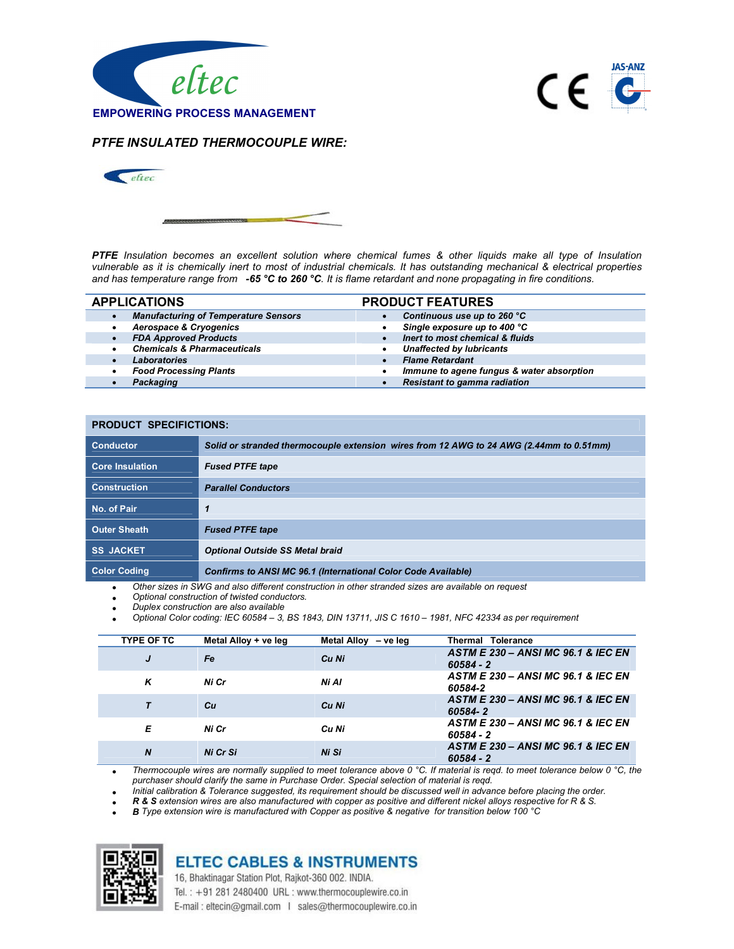



## PTFE INSULATED THERMOCOUPLE WIRE:



PTFE Insulation becomes an excellent solution where chemical fumes & other liquids make all type of Insulation vulnerable as it is chemically inert to most of industrial chemicals. It has outstanding mechanical & electrical properties and has temperature range from  $-65 \degree C$  to 260  $\degree C$ . It is flame retardant and none propagating in fire conditions.

|           | <b>APPLICATIONS</b>                         | <b>PRODUCT FEATURES</b>                   |
|-----------|---------------------------------------------|-------------------------------------------|
| $\bullet$ | <b>Manufacturing of Temperature Sensors</b> | Continuous use up to 260 °C               |
|           | <b>Aerospace &amp; Cryogenics</b>           | Single exposure up to 400 °C              |
|           | <b>FDA Approved Products</b>                | Inert to most chemical & fluids           |
|           | <b>Chemicals &amp; Pharmaceuticals</b>      | <b>Unaffected by lubricants</b>           |
|           | <b>Laboratories</b>                         | <b>Flame Retardant</b>                    |
|           | <b>Food Processing Plants</b>               | Immune to agene fungus & water absorption |
|           | Packaging                                   | <b>Resistant to gamma radiation</b>       |

## PRODUCT SPECIFICTIONS:

| <b>Conductor</b>       | Solid or stranded thermocouple extension wires from 12 AWG to 24 AWG (2.44mm to 0.51mm) |
|------------------------|-----------------------------------------------------------------------------------------|
| <b>Core Insulation</b> | <b>Fused PTFE tape</b>                                                                  |
| <b>Construction</b>    | <b>Parallel Conductors</b>                                                              |
| No. of Pair            |                                                                                         |
| <b>Outer Sheath</b>    | <b>Fused PTFE tape</b>                                                                  |
| <b>SS JACKET</b>       | <b>Optional Outside SS Metal braid</b>                                                  |
| <b>Color Coding</b>    | <b>Confirms to ANSI MC 96.1 (International Color Code Available)</b>                    |

Other sizes in SWG and also different construction in other stranded sizes are available on request

- Optional construction of twisted conductors.
- Duplex construction are also available
- Optional Color coding: IEC 60584 3, BS 1843, DIN 13711, JIS C 1610 1981, NFC 42334 as per requirement

| <b>TYPE OF TC</b> | Metal Alloy + ve leg | Metal Alloy - ve leg | Thermal Tolerance                                            |
|-------------------|----------------------|----------------------|--------------------------------------------------------------|
| J                 | Fe                   | Cu Ni                | ASTM E 230 - ANSI MC 96.1 & IEC EN<br>$60584 - 2$            |
| ĸ                 | Ni Cr                | Ni Al                | <b>ASTM E 230 - ANSI MC 96.1 &amp; IEC EN</b><br>60584-2     |
|                   | Сu                   | Cu Ni                | <b>ASTM E 230 - ANSI MC 96.1 &amp; IEC EN</b><br>60584-2     |
| Е                 | Ni Cr                | Cu Ni                | ASTM E 230 - ANSI MC 96.1 & IEC EN<br>60584 - 2              |
| $\boldsymbol{N}$  | Ni Cr Si             | Ni Si                | <b>ASTM E 230 - ANSI MC 96.1 &amp; IEC EN</b><br>$60584 - 2$ |

 Thermocouple wires are normally supplied to meet tolerance above 0 °C. If material is reqd. to meet tolerance below 0 °C, the purchaser should clarify the same in Purchase Order. Special selection of material is reqd.

Initial calibration & Tolerance suggested, its requirement should be discussed well in advance before placing the order.

R & S extension wires are also manufactured with copper as positive and different nickel alloys respective for R & S.

B Type extension wire is manufactured with Copper as positive & negative for transition below 100 °C



## **ELTEC CABLES & INSTRUMENTS**

16, Bhaktinagar Station Plot, Rajkot-360 002. INDIA.

Tel.: +91 281 2480400 URL: www.thermocouplewire.co.in

E-mail: eltecin@gmail.com | sales@thermocouplewire.co.in